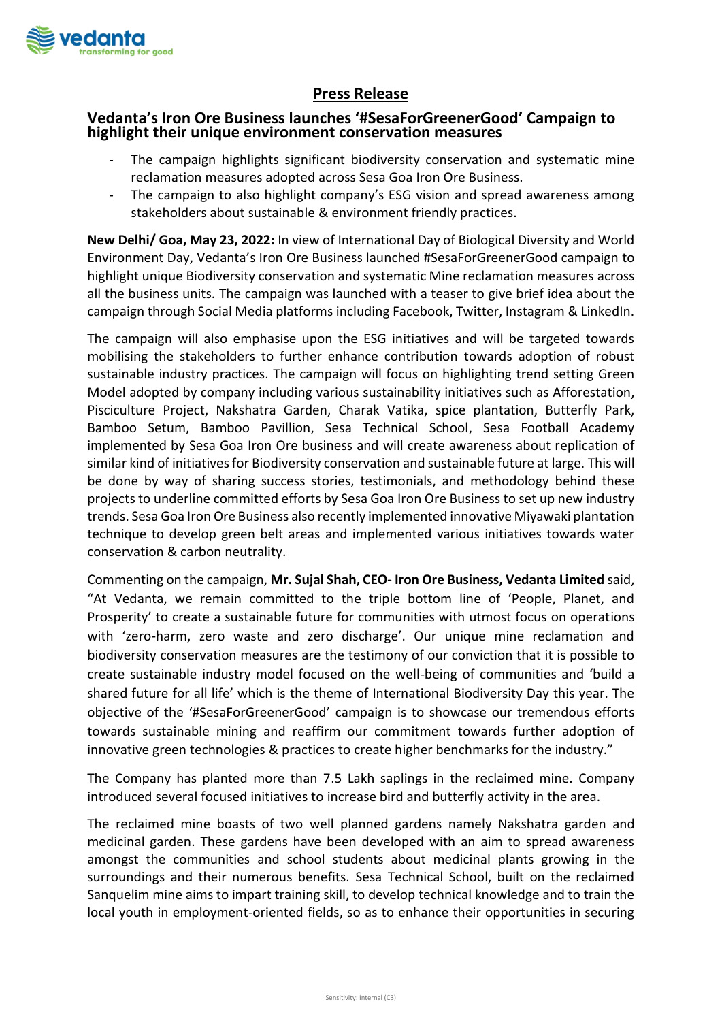

## **Press Release**

## **Vedanta's Iron Ore Business launches '#SesaForGreenerGood' Campaign to highlight their unique environment conservation measures**

- The campaign highlights significant biodiversity conservation and systematic mine reclamation measures adopted across Sesa Goa Iron Ore Business.
- The campaign to also highlight company's ESG vision and spread awareness among stakeholders about sustainable & environment friendly practices.

**New Delhi/ Goa, May 23, 2022:** In view of International Day of Biological Diversity and World Environment Day, Vedanta's Iron Ore Business launched #SesaForGreenerGood campaign to highlight unique Biodiversity conservation and systematic Mine reclamation measures across all the business units. The campaign was launched with a teaser to give brief idea about the campaign through Social Media platforms including Facebook, Twitter, Instagram & LinkedIn.

The campaign will also emphasise upon the ESG initiatives and will be targeted towards mobilising the stakeholders to further enhance contribution towards adoption of robust sustainable industry practices. The campaign will focus on highlighting trend setting Green Model adopted by company including various sustainability initiatives such as Afforestation, Pisciculture Project, Nakshatra Garden, Charak Vatika, spice plantation, Butterfly Park, Bamboo Setum, Bamboo Pavillion, Sesa Technical School, Sesa Football Academy implemented by Sesa Goa Iron Ore business and will create awareness about replication of similar kind of initiatives for Biodiversity conservation and sustainable future at large. This will be done by way of sharing success stories, testimonials, and methodology behind these projects to underline committed efforts by Sesa Goa Iron Ore Business to set up new industry trends. Sesa Goa Iron Ore Business also recently implemented innovative Miyawaki plantation technique to develop green belt areas and implemented various initiatives towards water conservation & carbon neutrality.

Commenting on the campaign, **Mr. Sujal Shah, CEO- Iron Ore Business, Vedanta Limited** said, "At Vedanta, we remain committed to the triple bottom line of 'People, Planet, and Prosperity' to create a sustainable future for communities with utmost focus on operations with 'zero-harm, zero waste and zero discharge'. Our unique mine reclamation and biodiversity conservation measures are the testimony of our conviction that it is possible to create sustainable industry model focused on the well-being of communities and 'build a shared future for all life' which is the theme of International Biodiversity Day this year. The objective of the '#SesaForGreenerGood' campaign is to showcase our tremendous efforts towards sustainable mining and reaffirm our commitment towards further adoption of innovative green technologies & practices to create higher benchmarks for the industry."

The Company has planted more than 7.5 Lakh saplings in the reclaimed mine. Company introduced several focused initiatives to increase bird and butterfly activity in the area.

The reclaimed mine boasts of two well planned gardens namely Nakshatra garden and medicinal garden. These gardens have been developed with an aim to spread awareness amongst the communities and school students about medicinal plants growing in the surroundings and their numerous benefits. Sesa Technical School, built on the reclaimed Sanquelim mine aims to impart training skill, to develop technical knowledge and to train the local youth in employment-oriented fields, so as to enhance their opportunities in securing